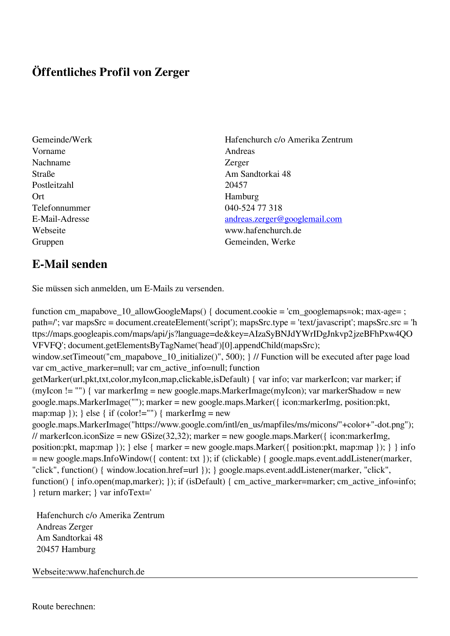## **Öffentliches Profil von Zerger**

- Vorname Andreas Nachname Zerger Postleitzahl 20457 Ort Hamburg Telefonnummer 040-524 77 318
- Gemeinde/Werk Hafenchurch c/o Amerika Zentrum Straße **Am Sandtorkai 48** E-Mail-Adresse [andreas.zerger@googlemail.com](mailto:andreas.zerger@googlemail.com) Webseite www.hafenchurch.de Gruppen Gemeinden, Werke

## **E-Mail senden**

Sie müssen sich anmelden, um E-Mails zu versenden.

function cm\_mapabove\_10\_allowGoogleMaps() { document.cookie = 'cm\_googlemaps=ok; max-age= ; path=/'; var mapsSrc = document.createElement('script'); mapsSrc.type = 'text/javascript'; mapsSrc.src = 'h ttps://maps.googleapis.com/maps/api/js?language=de&key=AIzaSyBNJdYWrIDgJnkvp2jzeBFhPxw4QO VFVFQ'; document.getElementsByTagName('head')[0].appendChild(mapsSrc); window.setTimeout("cm\_mapabove\_10\_initialize()", 500); } // Function will be executed after page load var cm\_active\_marker=null; var cm\_active\_info=null; function getMarker(url,pkt,txt,color,myIcon,map,clickable,isDefault) { var info; var markerIcon; var marker; if (myIcon != "") { var markerImg = new google.maps.MarkerImage(myIcon); var markerShadow = new google.maps.MarkerImage(""); marker = new google.maps.Marker({ icon:markerImg, position:pkt, map:map  $\}$ ;  $\}$  else  $\{$  if (color!="")  $\{$  markerImg = new google.maps.MarkerImage("https://www.google.com/intl/en\_us/mapfiles/ms/micons/"+color+"-dot.png"); // markerIcon.iconSize = new GSize(32,32); marker = new google.maps.Marker({ $i$ con:markerImg, position:pkt, map:map }); } else { marker = new google.maps.Marker({ position:pkt, map:map }); } } info = new google.maps.InfoWindow({ content: txt }); if (clickable) { google.maps.event.addListener(marker, "click", function() { window.location.href=url }); } google.maps.event.addListener(marker, "click", function() { info.open(map,marker); }); if (isDefault) { cm\_active\_marker=marker; cm\_active\_info=info; } return marker; } var infoText='

 Hafenchurch c/o Amerika Zentrum Andreas Zerger Am Sandtorkai 48 20457 Hamburg

Webseite:www.hafenchurch.de